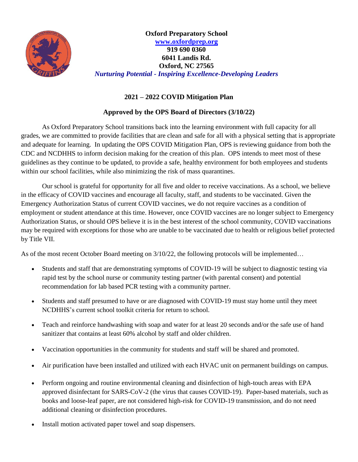

**Oxford Preparatory School [www.oxfordprep.org](http://www.oxfordprep.org/) 919 690 0360 6041 Landis Rd. Oxford, NC 27565** *Nurturing Potential - Inspiring Excellence-Developing Leaders*

## **2021 – 2022 COVID Mitigation Plan**

## **Approved by the OPS Board of Directors (3/10/22)**

As Oxford Preparatory School transitions back into the learning environment with full capacity for all grades, we are committed to provide facilities that are clean and safe for all with a physical setting that is appropriate and adequate for learning. In updating the OPS COVID Mitigation Plan, OPS is reviewing guidance from both the CDC and NCDHHS to inform decision making for the creation of this plan. OPS intends to meet most of these guidelines as they continue to be updated, to provide a safe, healthy environment for both employees and students within our school facilities, while also minimizing the risk of mass quarantines.

Our school is grateful for opportunity for all five and older to receive vaccinations. As a school, we believe in the efficacy of COVID vaccines and encourage all faculty, staff, and students to be vaccinated. Given the Emergency Authorization Status of current COVID vaccines, we do not require vaccines as a condition of employment or student attendance at this time. However, once COVID vaccines are no longer subject to Emergency Authorization Status, or should OPS believe it is in the best interest of the school community, COVID vaccinations may be required with exceptions for those who are unable to be vaccinated due to health or religious belief protected by Title VII.

As of the most recent October Board meeting on 3/10/22, the following protocols will be implemented…

- Students and staff that are demonstrating symptoms of COVID-19 will be subject to diagnostic testing via rapid test by the school nurse or community testing partner (with parental consent) and potential recommendation for lab based PCR testing with a community partner.
- Students and staff presumed to have or are diagnosed with COVID-19 must stay home until they meet NCDHHS's current school toolkit criteria for return to school.
- Teach and reinforce handwashing with soap and water for at least 20 seconds and/or the safe use of hand sanitizer that contains at least 60% alcohol by staff and older children.
- Vaccination opportunities in the community for students and staff will be shared and promoted.
- Air purification have been installed and utilized with each HVAC unit on permanent buildings on campus.
- Perform ongoing and routine environmental cleaning and disinfection of high-touch areas with EPA approved disinfectant for SARS-CoV-2 (the virus that causes COVID-19). Paper-based materials, such as books and loose-leaf paper, are not considered high-risk for COVID-19 transmission, and do not need additional cleaning or disinfection procedures.
- Install motion activated paper towel and soap dispensers.